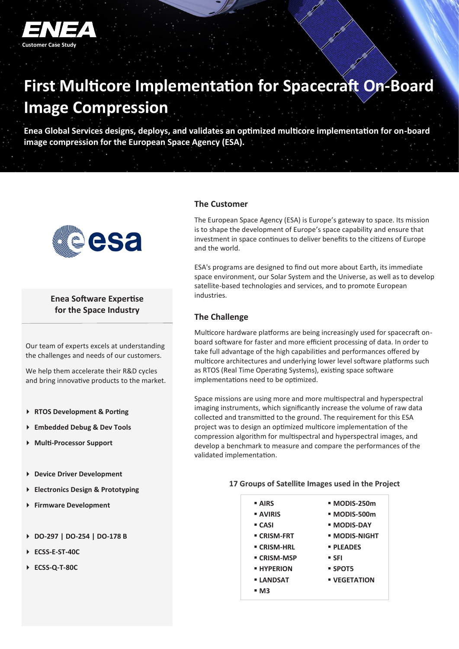

# **First Multicore Implementation for Spacecraft On-Board Image Compression**

**Enea Global Services designs, deploys, and validates an optimized multicore implementation for on-board image compression for the European Space Agency (ESA).** 



### **Enea Software Expertise for the Space Industry**

Our team of experts excels at understanding the challenges and needs of our customers.

We help them accelerate their R&D cycles and bring innovative products to the market.

- **RTOS Development & Porting**
- **Embedded Debug & Dev Tools**
- **Multi-Processor Support**
- **Device Driver Development**
- **Electronics Design & Prototyping**
- **Firmware Development**
- **DO-297 | DO-254 | DO-178 B**
- **ECSS-E-ST-40C**
- **ECSS-Q-T-80C**

#### **The Customer**

The European Space Agency (ESA) is Europe's gateway to space. Its mission is to shape the development of Europe's space capability and ensure that investment in space continues to deliver benefits to the citizens of Europe and the world.

ESA's programs are designed to find out more about Earth, its immediate space environment, our Solar System and the Universe, as well as to develop satellite-based technologies and services, and to promote European industries.

#### **The Challenge**

Multicore hardware platforms are being increasingly used for spacecraft onboard software for faster and more efficient processing of data. In order to take full advantage of the high capabilities and performances offered by multicore architectures and underlying lower level software platforms such as RTOS (Real Time Operating Systems), existing space software implementations need to be optimized.

Space missions are using more and more multispectral and hyperspectral imaging instruments, which significantly increase the volume of raw data collected and transmitted to the ground. The requirement for this ESA project was to design an optimized multicore implementation of the compression algorithm for multispectral and hyperspectral images, and develop a benchmark to measure and compare the performances of the validated implementation.

#### **17 Groups of Satellite Images used in the Project**

| <b>- AIRS</b>     | ■ MODIS-250m        |
|-------------------|---------------------|
| <b>AVIRIS</b>     | ■ MODIS-500m        |
| ■ CASI            | ■ MODIS-DAY         |
| ■ CRISM-FRT       | • MODIS-NIGHT       |
| ■ CRISM-HRL       | <b>• PLEADES</b>    |
| ■ CRISM-MSP       | ■ SFI               |
| <b>E HYPERION</b> | ■ SPOT5             |
| <b>LANDSAT</b>    | <b>• VEGETATION</b> |
| - M3              |                     |
|                   |                     |